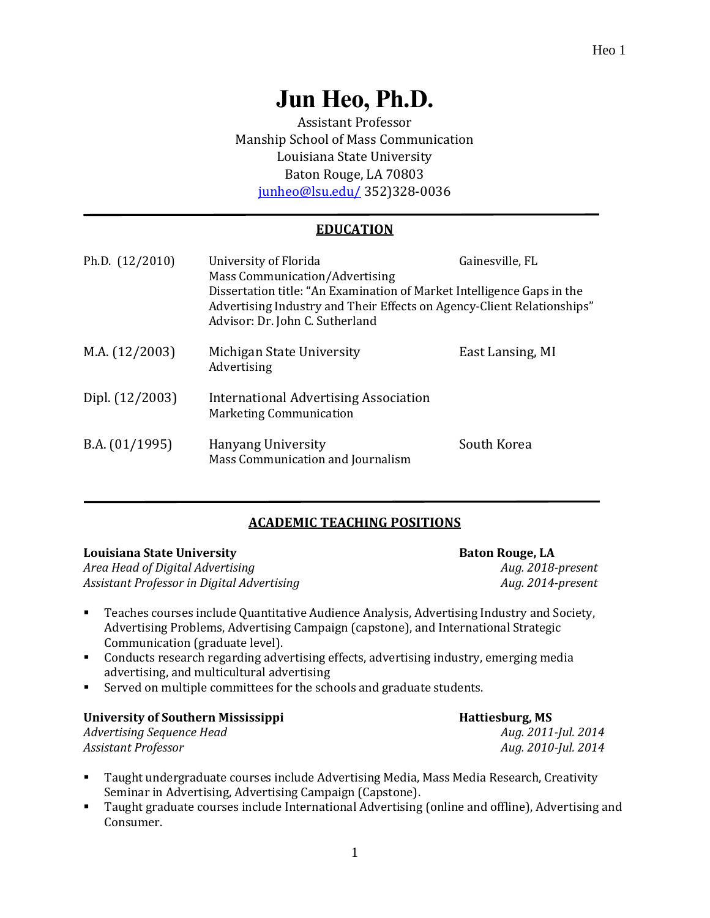# **Jun Heo, Ph.D.**

Assistant Professor Manship School of Mass Communication Louisiana State University Baton Rouge, LA 70803 [junheo@lsu.edu/](mailto:junheo@lsu.edu/) 352)328-0036

# **EDUCATION**

| Ph.D. (12/2010) | University of Florida<br>Mass Communication/Advertising<br>Dissertation title: "An Examination of Market Intelligence Gaps in the<br>Advertising Industry and Their Effects on Agency-Client Relationships"<br>Advisor: Dr. John C. Sutherland | Gainesville, FL  |
|-----------------|------------------------------------------------------------------------------------------------------------------------------------------------------------------------------------------------------------------------------------------------|------------------|
| M.A. (12/2003)  | Michigan State University<br>Advertising                                                                                                                                                                                                       | East Lansing, MI |
| Dipl. (12/2003) | International Advertising Association<br><b>Marketing Communication</b>                                                                                                                                                                        |                  |
| B.A. (01/1995)  | <b>Hanyang University</b><br>Mass Communication and Journalism                                                                                                                                                                                 | South Korea      |

# **ACADEMIC TEACHING POSITIONS**

| Louisiana State University                 | <b>Baton Rouge, LA</b> |  |
|--------------------------------------------|------------------------|--|
| Area Head of Digital Advertising           | Aug. 2018-present      |  |
| Assistant Professor in Digital Advertising | Aug. 2014-present      |  |

- Teaches courses include Quantitative Audience Analysis, Advertising Industry and Society, Advertising Problems, Advertising Campaign (capstone), and International Strategic Communication (graduate level).
- Conducts research regarding advertising effects, advertising industry, emerging media advertising, and multicultural advertising
- Served on multiple committees for the schools and graduate students.

# University of Southern Mississippi **Hattiesburg, MS**

*Advertising Sequence Head Aug. 2011-Jul. 2014 Assistant Professor Aug. 2010-Jul. 2014*

- Taught undergraduate courses include Advertising Media, Mass Media Research, Creativity Seminar in Advertising, Advertising Campaign (Capstone).
- Taught graduate courses include International Advertising (online and offline), Advertising and Consumer.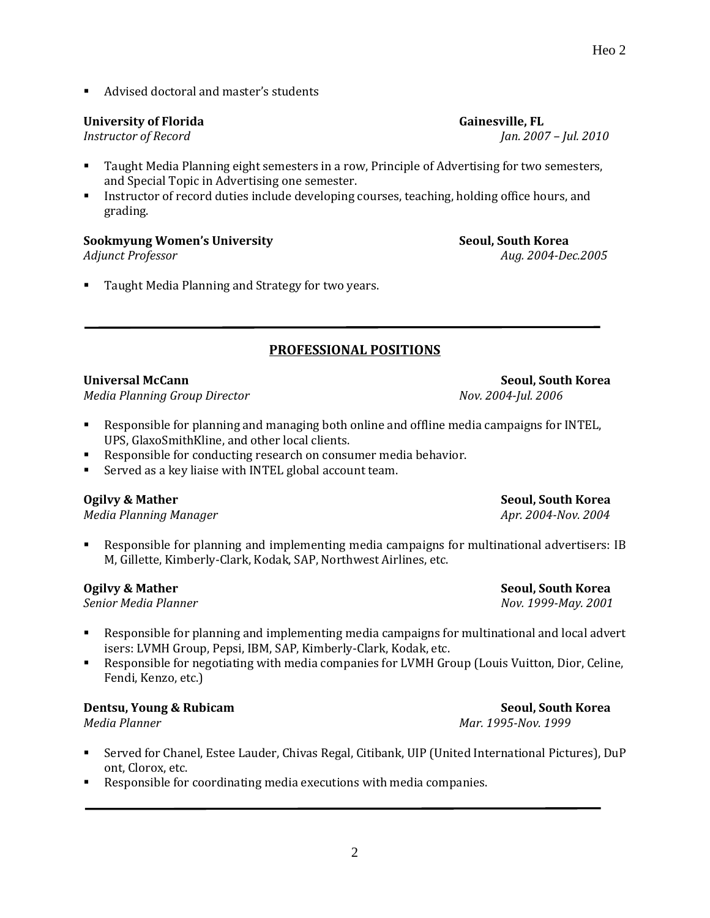■ Advised doctoral and master's students

# **University of Florida Gainesville, FL**

*Instructor of Record Jan. 2007 – Jul. 2010*

- Taught Media Planning eight semesters in a row, Principle of Advertising for two semesters, and Special Topic in Advertising one semester.
- Instructor of record duties include developing courses, teaching, holding office hours, and grading.

#### **Sookmyung Women's University Seoul, South Korea**

Taught Media Planning and Strategy for two years.

# **PROFESSIONAL POSITIONS**

# **Universal McCann Seoul, South Korea**

*Media Planning Group Director Nov. 2004-Jul. 2006*

- Responsible for planning and managing both online and offline media campaigns for INTEL, UPS, GlaxoSmithKline, and other local clients.
- Responsible for conducting research on consumer media behavior.
- Served as a key liaise with INTEL global account team.

# **Ogilvy & Mather Seoul, South Korea**

*Media Planning Manager Apr. 2004-Nov. 2004*

Responsible for planning and implementing media campaigns for multinational advertisers: IB M, Gillette, Kimberly-Clark, Kodak, SAP, Northwest Airlines, etc.

*Senior Media Planner Nov. 1999-May. 2001*

- Responsible for planning and implementing media campaigns for multinational and local advert isers: LVMH Group, Pepsi, IBM, SAP, Kimberly-Clark, Kodak, etc.
- Responsible for negotiating with media companies for LVMH Group (Louis Vuitton, Dior, Celine, Fendi, Kenzo, etc.)

# **Dentsu, Young & Rubicam Seoul, South Korea**

*Media Planner Mar. 1995-Nov. 1999*

▪ Served for Chanel, Estee Lauder, Chivas Regal, Citibank, UIP (United International Pictures), DuP ont, Clorox, etc.

2

Responsible for coordinating media executions with media companies.

**Ogilvy & Mather Seoul, South Korea**

*Adjunct Professor Aug. 2004-Dec.2005*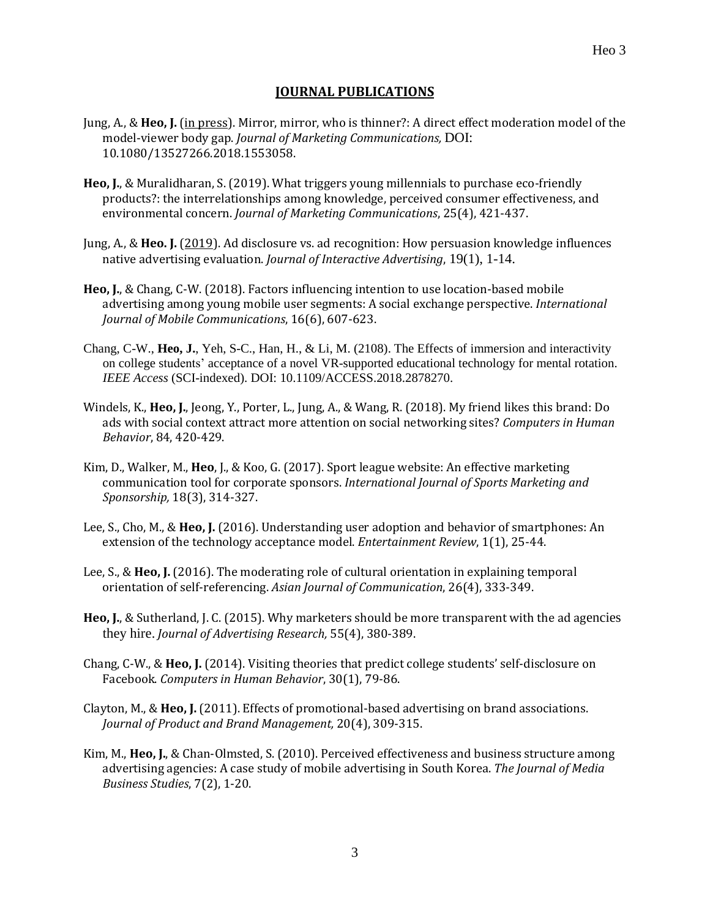#### **JOURNAL PUBLICATIONS**

- Jung, A., & **Heo, J.** (in press). Mirror, mirror, who is thinner?: A direct effect moderation model of the model-viewer body gap. *Journal of Marketing Communications,* DOI: 10.1080/13527266.2018.1553058.
- **Heo, J.**, & Muralidharan, S. (2019). What triggers young millennials to purchase eco-friendly products?: the interrelationships among knowledge, perceived consumer effectiveness, and environmental concern. *Journal of Marketing Communications*, 25(4), 421-437.
- Jung, A., & **Heo. J.** (2019). Ad disclosure vs. ad recognition: How persuasion knowledge influences native advertising evaluation. *Journal of Interactive Advertising*, 19(1), 1-14.
- **Heo, J.**, & Chang, C-W. (2018). Factors influencing intention to use location-based mobile advertising among young mobile user segments: A social exchange perspective. *International Journal of Mobile Communications*, 16(6), 607-623.
- Chang, C-W., **Heo, J.**, Yeh, S-C., Han, H., & Li, M. (2108). The Effects of immersion and interactivity on college students' acceptance of a novel VR-supported educational technology for mental rotation. *IEEE Access* (SCI-indexed). DOI: 10.1109/ACCESS.2018.2878270.
- Windels, K., **Heo, J.**, Jeong, Y., Porter, L., Jung, A., & Wang, R. (2018). My friend likes this brand: Do ads with social context attract more attention on social networking sites? *Computers in Human Behavior*, 84, 420-429.
- Kim, D., Walker, M., **Heo**, J., & Koo, G. (2017). Sport league website: An effective marketing communication tool for corporate sponsors. *International Journal of Sports Marketing and Sponsorship,* 18(3), 314-327.
- Lee, S., Cho, M., & **Heo, J.** (2016). Understanding user adoption and behavior of smartphones: An extension of the technology acceptance model. *Entertainment Review*, 1(1), 25-44.
- Lee, S., & **Heo, J.** (2016). The moderating role of cultural orientation in explaining temporal orientation of self-referencing. *Asian Journal of Communication*, 26(4), 333-349.
- **Heo, J.**, & Sutherland, J. C. (2015). Why marketers should be more transparent with the ad agencies they hire. *Journal of Advertising Research,* 55(4), 380-389.
- Chang, C-W., & **Heo, J.** (2014). Visiting theories that predict college students' self-disclosure on Facebook. *Computers in Human Behavior*, 30(1), 79-86.
- Clayton, M., & **Heo, J.** (2011). Effects of promotional-based advertising on brand associations. *Journal of Product and Brand Management,* 20(4), 309-315.
- Kim, M., **Heo, J.**, & Chan-Olmsted, S. (2010). Perceived effectiveness and business structure among advertising agencies: A case study of mobile advertising in South Korea. *The Journal of Media Business Studies*, 7(2), 1-20.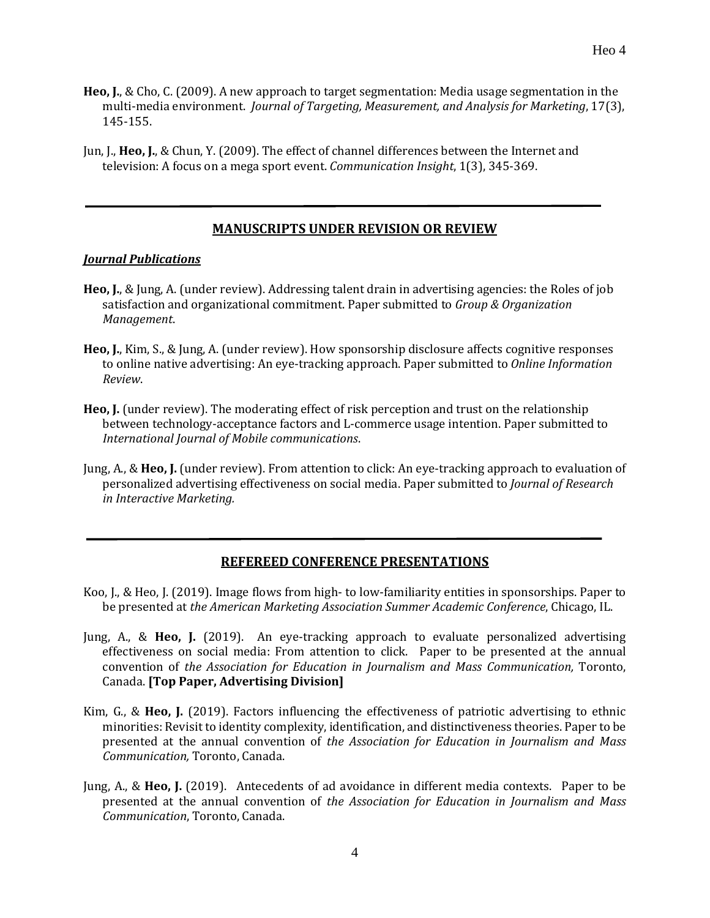- **Heo, J.**, & Cho, C. (2009). A new approach to target segmentation: Media usage segmentation in the multi-media environment. *Journal of Targeting, Measurement, and Analysis for Marketing*, 17(3), 145-155.
- Jun, J., **Heo, J.**, & Chun, Y. (2009). The effect of channel differences between the Internet and television: A focus on a mega sport event. *Communication Insight*, 1(3), 345-369.

#### **MANUSCRIPTS UNDER REVISION OR REVIEW**

#### *Journal Publications*

- **Heo, J.**, & Jung, A. (under review). Addressing talent drain in advertising agencies: the Roles of job satisfaction and organizational commitment. Paper submitted to *Group & Organization Management*.
- **Heo, J.**, Kim, S., & Jung, A. (under review). How sponsorship disclosure affects cognitive responses to online native advertising: An eye-tracking approach. Paper submitted to *Online Information Review*.
- **Heo, J.** (under review). The moderating effect of risk perception and trust on the relationship between technology-acceptance factors and L-commerce usage intention. Paper submitted to *International Journal of Mobile communications*.
- Jung, A., & **Heo, J.** (under review). From attention to click: An eye-tracking approach to evaluation of personalized advertising effectiveness on social media. Paper submitted to *Journal of Research in Interactive Marketing.*

#### **REFEREED CONFERENCE PRESENTATIONS**

- Koo, J., & Heo, J. (2019). Image flows from high- to low-familiarity entities in sponsorships. Paper to be presented at *the American Marketing Association Summer Academic Conference*, Chicago, IL.
- Jung, A., & **Heo, J.** (2019). An eye-tracking approach to evaluate personalized advertising effectiveness on social media: From attention to click. Paper to be presented at the annual convention of *the Association for Education in Journalism and Mass Communication,* Toronto, Canada. **[Top Paper, Advertising Division]**
- Kim, G., & **Heo, J.** (2019). Factors influencing the effectiveness of patriotic advertising to ethnic minorities: Revisit to identity complexity, identification, and distinctiveness theories. Paper to be presented at the annual convention of *the Association for Education in Journalism and Mass Communication,* Toronto, Canada.
- Jung, A., & **Heo, J.** (2019). Antecedents of ad avoidance in different media contexts. Paper to be presented at the annual convention of *the Association for Education in Journalism and Mass Communication*, Toronto, Canada.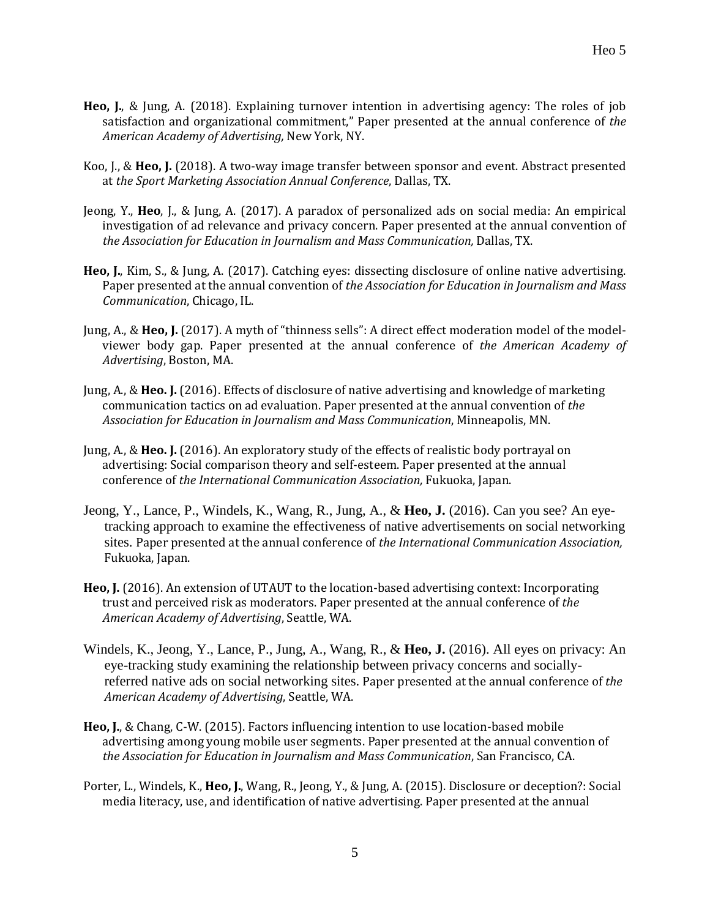- **Heo, J.**, & Jung, A. (2018). Explaining turnover intention in advertising agency: The roles of job satisfaction and organizational commitment," Paper presented at the annual conference of *the American Academy of Advertising,* New York, NY.
- Koo, J., & **Heo, J.** (2018). A two-way image transfer between sponsor and event. Abstract presented at *the Sport Marketing Association Annual Conference*, Dallas, TX.
- Jeong, Y., **Heo**, J., & Jung, A. (2017). A paradox of personalized ads on social media: An empirical investigation of ad relevance and privacy concern. Paper presented at the annual convention of *the Association for Education in Journalism and Mass Communication,* Dallas, TX.
- **Heo, J.**, Kim, S., & Jung, A. (2017). Catching eyes: dissecting disclosure of online native advertising. Paper presented at the annual convention of *the Association for Education in Journalism and Mass Communication*, Chicago, IL.
- Jung, A., & **Heo, J.** (2017). A myth of "thinness sells": A direct effect moderation model of the modelviewer body gap. Paper presented at the annual conference of *the American Academy of Advertising*, Boston, MA.
- Jung, A., & **Heo. J.** (2016). Effects of disclosure of native advertising and knowledge of marketing communication tactics on ad evaluation. Paper presented at the annual convention of *the Association for Education in Journalism and Mass Communication*, Minneapolis, MN.
- Jung, A., & **Heo. J.** (2016). An exploratory study of the effects of realistic body portrayal on advertising: Social comparison theory and self-esteem. Paper presented at the annual conference of *the International Communication Association,* Fukuoka, Japan.
- Jeong, Y., Lance, P., Windels, K., Wang, R., Jung, A., & **Heo, J.** (2016). Can you see? An eyetracking approach to examine the effectiveness of native advertisements on social networking sites. Paper presented at the annual conference of *the International Communication Association,* Fukuoka, Japan.
- **Heo, J.** (2016). An extension of UTAUT to the location-based advertising context: Incorporating trust and perceived risk as moderators. Paper presented at the annual conference of *the American Academy of Advertising*, Seattle, WA.
- Windels, K., Jeong, Y., Lance, P., Jung, A., Wang, R., & **Heo, J.** (2016). All eyes on privacy: An eye-tracking study examining the relationship between privacy concerns and sociallyreferred native ads on social networking sites. Paper presented at the annual conference of *the American Academy of Advertising*, Seattle, WA.
- **Heo, J.**, & Chang, C-W. (2015). Factors influencing intention to use location-based mobile advertising among young mobile user segments. Paper presented at the annual convention of *the Association for Education in Journalism and Mass Communication*, San Francisco, CA.
- Porter, L., Windels, K., **Heo, J.**, Wang, R., Jeong, Y., & Jung, A. (2015). Disclosure or deception?: Social media literacy, use, and identification of native advertising. Paper presented at the annual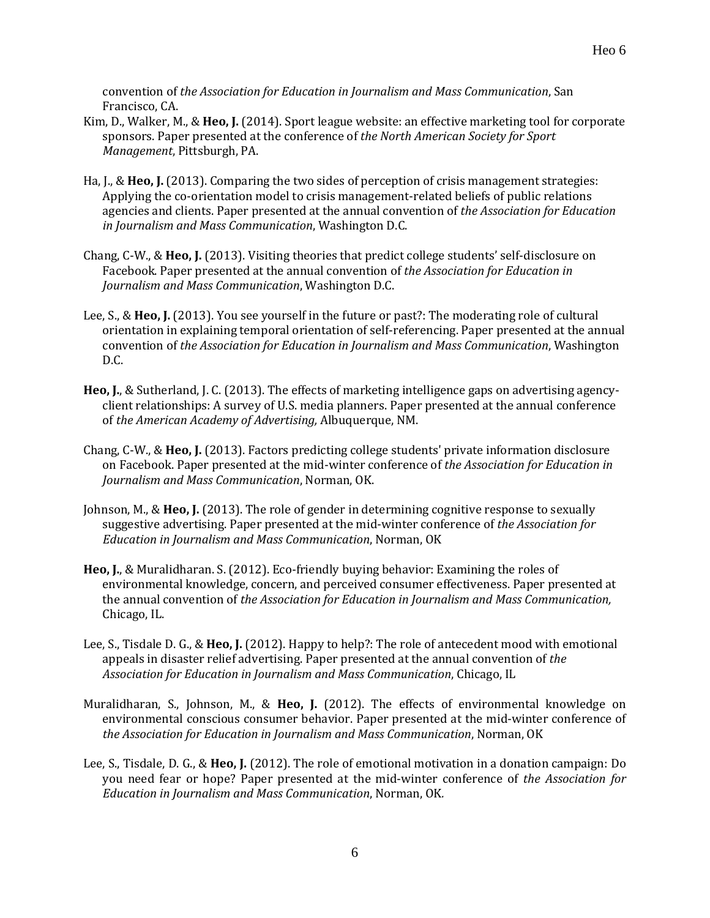convention of *the Association for Education in Journalism and Mass Communication*, San Francisco, CA.

- Kim, D., Walker, M., & **Heo, J.** (2014). Sport league website: an effective marketing tool for corporate sponsors. Paper presented at the conference of *the North American Society for Sport Management*, Pittsburgh, PA.
- Ha, J., & **Heo, J.** (2013). Comparing the two sides of perception of crisis management strategies: Applying the co-orientation model to crisis management-related beliefs of public relations agencies and clients. Paper presented at the annual convention of *the Association for Education in Journalism and Mass Communication*, Washington D.C.
- Chang, C-W., & **Heo, J.** (2013). Visiting theories that predict college students' self-disclosure on Facebook. Paper presented at the annual convention of *the Association for Education in Journalism and Mass Communication*, Washington D.C.
- Lee, S., & **Heo, J.** (2013). You see yourself in the future or past?: The moderating role of cultural orientation in explaining temporal orientation of self-referencing. Paper presented at the annual convention of *the Association for Education in Journalism and Mass Communication*, Washington D.C.
- **Heo, J.**, & Sutherland, J. C. (2013). The effects of marketing intelligence gaps on advertising agencyclient relationships: A survey of U.S. media planners. Paper presented at the annual conference of *the American Academy of Advertising,* Albuquerque, NM.
- Chang, C-W., & **Heo, J.** (2013). Factors predicting college students' private information disclosure on Facebook. Paper presented at the mid-winter conference of *the Association for Education in Journalism and Mass Communication*, Norman, OK.
- Johnson, M., & **Heo, J.** (2013). The role of gender in determining cognitive response to sexually suggestive advertising. Paper presented at the mid-winter conference of *the Association for Education in Journalism and Mass Communication*, Norman, OK
- **Heo, J.**, & Muralidharan. S. (2012). Eco-friendly buying behavior: Examining the roles of environmental knowledge, concern, and perceived consumer effectiveness. Paper presented at the annual convention of *the Association for Education in Journalism and Mass Communication,*  Chicago, IL.
- Lee, S., Tisdale D. G., & **Heo, J.** (2012). Happy to help?: The role of antecedent mood with emotional appeals in disaster relief advertising. Paper presented at the annual convention of *the Association for Education in Journalism and Mass Communication*, Chicago, IL
- Muralidharan, S., Johnson, M., & **Heo, J.** (2012). The effects of environmental knowledge on environmental conscious consumer behavior. Paper presented at the mid-winter conference of *the Association for Education in Journalism and Mass Communication*, Norman, OK
- Lee, S., Tisdale, D. G., & **Heo, J.** (2012). The role of emotional motivation in a donation campaign: Do you need fear or hope? Paper presented at the mid-winter conference of *the Association for Education in Journalism and Mass Communication*, Norman, OK*.*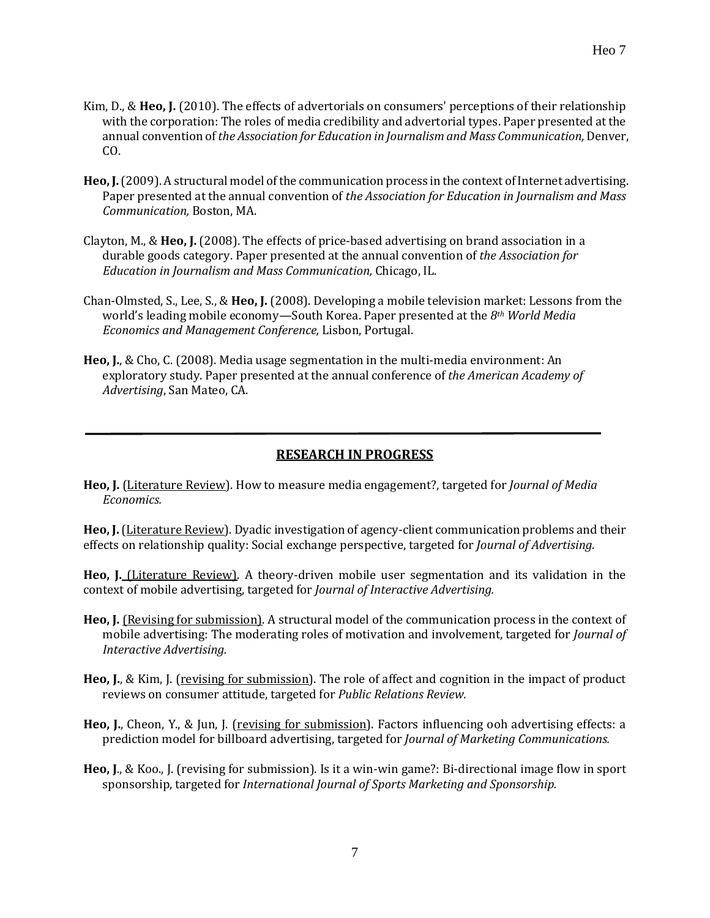- Kim, D., & **Heo, J.** (2010). The effects of advertorials on consumers' perceptions of their relationship with the corporation: The roles of media credibility and advertorial types. Paper presented at the annual convention of *the Association for Education in Journalism and Mass Communication,* Denver, CO.
- **Heo, J.**(2009). A structural model of the communication process in the context of Internet advertising. Paper presented at the annual convention of *the Association for Education in Journalism and Mass Communication,* Boston, MA.
- Clayton, M., & **Heo, J.** (2008). The effects of price-based advertising on brand association in a durable goods category. Paper presented at the annual convention of *the Association for Education in Journalism and Mass Communication,* Chicago, IL.
- Chan-Olmsted, S., Lee, S., & **Heo, J.** (2008). Developing a mobile television market: Lessons from the world's leading mobile economy—South Korea. Paper presented at the *8th World Media Economics and Management Conference,* Lisbon, Portugal.
- **Heo, J.**, & Cho, C. (2008). Media usage segmentation in the multi-media environment: An exploratory study. Paper presented at the annual conference of *the American Academy of Advertising*, San Mateo, CA.

# **RESEARCH IN PROGRESS**

**Heo, J.** (Literature Review). How to measure media engagement?, targeted for *Journal of Media Economics.*

**Heo, J.**(Literature Review). Dyadic investigation of agency-client communication problems and their effects on relationship quality: Social exchange perspective, targeted for *Journal of Advertising*.

**Heo, J.** (Literature Review). A theory-driven mobile user segmentation and its validation in the context of mobile advertising, targeted for *Journal of Interactive Advertising.*

- **Heo, J.** (Revising for submission). A structural model of the communication process in the context of mobile advertising: The moderating roles of motivation and involvement, targeted for *Journal of Interactive Advertising.*
- **Heo, J.**, & Kim, J. (revising for submission). The role of affect and cognition in the impact of product reviews on consumer attitude, targeted for *Public Relations Review.*
- **Heo, J.**, Cheon, Y., & Jun, J. (revising for submission). Factors influencing ooh advertising effects: a prediction model for billboard advertising, targeted for *Journal of Marketing Communications.*
- **Heo, J**., & Koo., J. (revising for submission). Is it a win-win game?: Bi-directional image flow in sport sponsorship, targeted for *International Journal of Sports Marketing and Sponsorship.*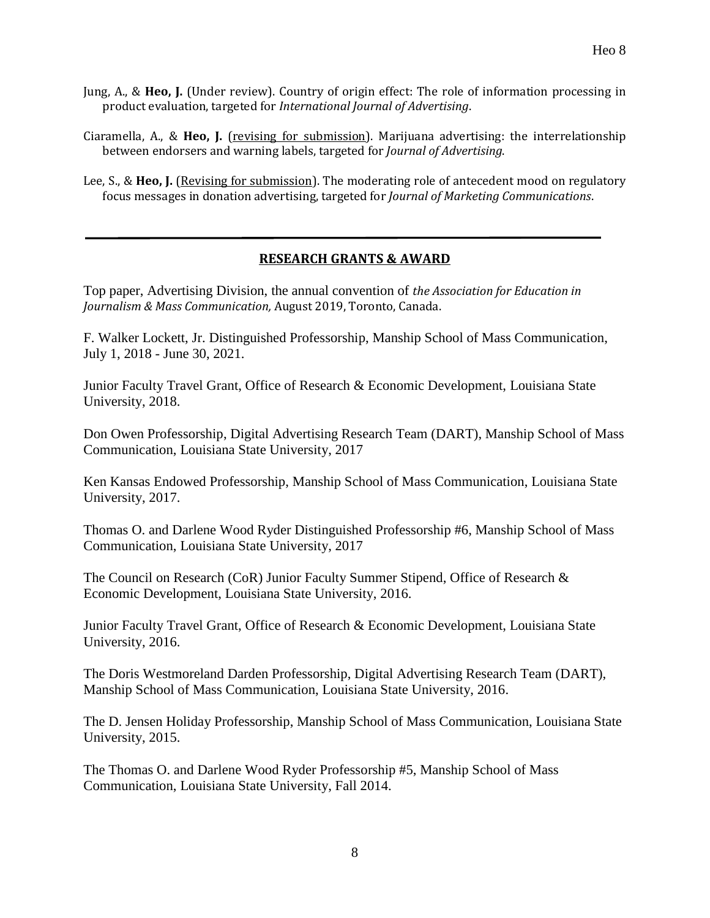- Jung, A., & **Heo, J.** (Under review). Country of origin effect: The role of information processing in product evaluation, targeted for *International Journal of Advertising*.
- Ciaramella, A., & **Heo, J.** (revising for submission). Marijuana advertising: the interrelationship between endorsers and warning labels, targeted for *Journal of Advertising*.
- Lee, S., & **Heo, J.** (Revising for submission). The moderating role of antecedent mood on regulatory focus messages in donation advertising, targeted for *Journal of Marketing Communications*.

#### **RESEARCH GRANTS & AWARD**

Top paper, Advertising Division, the annual convention of *the Association for Education in Journalism & Mass Communication,* August 2019, Toronto, Canada.

F. Walker Lockett, Jr. Distinguished Professorship, Manship School of Mass Communication, July 1, 2018 - June 30, 2021.

Junior Faculty Travel Grant, Office of Research & Economic Development, Louisiana State University, 2018.

Don Owen Professorship, Digital Advertising Research Team (DART), Manship School of Mass Communication, Louisiana State University, 2017

Ken Kansas Endowed Professorship, Manship School of Mass Communication, Louisiana State University, 2017.

Thomas O. and Darlene Wood Ryder Distinguished Professorship #6, Manship School of Mass Communication, Louisiana State University, 2017

The Council on Research (CoR) Junior Faculty Summer Stipend, Office of Research & Economic Development, Louisiana State University, 2016.

Junior Faculty Travel Grant, Office of Research & Economic Development, Louisiana State University, 2016.

The Doris Westmoreland Darden Professorship, Digital Advertising Research Team (DART), Manship School of Mass Communication, Louisiana State University, 2016.

The D. Jensen Holiday Professorship, Manship School of Mass Communication, Louisiana State University, 2015.

The Thomas O. and Darlene Wood Ryder Professorship #5, Manship School of Mass Communication, Louisiana State University, Fall 2014.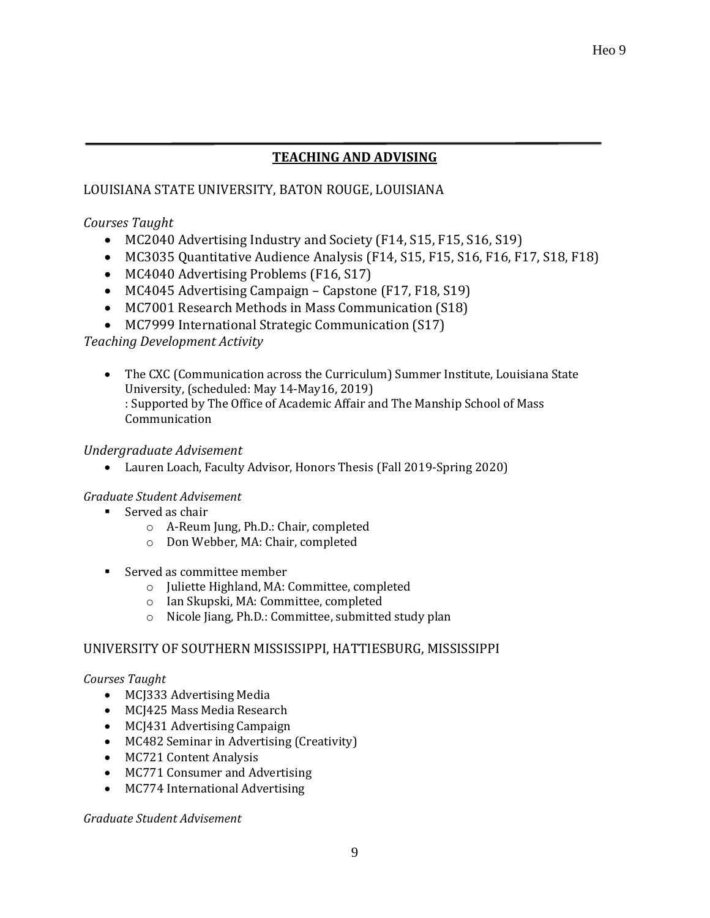# **TEACHING AND ADVISING**

# LOUISIANA STATE UNIVERSITY, BATON ROUGE, LOUISIANA

# *Courses Taught*

- MC2040 Advertising Industry and Society (F14, S15, F15, S16, S19)
- MC3035 Quantitative Audience Analysis (F14, S15, F15, S16, F16, F17, S18, F18)
- MC4040 Advertising Problems (F16, S17)
- MC4045 Advertising Campaign Capstone (F17, F18, S19)
- MC7001 Research Methods in Mass Communication (S18)
- MC7999 International Strategic Communication (S17)

# *Teaching Development Activity*

• The CXC (Communication across the Curriculum) Summer Institute, Louisiana State University, (scheduled: May 14-May16, 2019) : Supported by The Office of Academic Affair and The Manship School of Mass Communication

#### *Undergraduate Advisement*

• Lauren Loach, Faculty Advisor, Honors Thesis (Fall 2019-Spring 2020)

# *Graduate Student Advisement*

- Served as chair
	- o A-Reum Jung, Ph.D.: Chair, completed
	- o Don Webber, MA: Chair, completed
- Served as committee member
	- o Juliette Highland, MA: Committee, completed
	- o Ian Skupski, MA: Committee, completed
	- o Nicole Jiang, Ph.D.: Committee, submitted study plan

# UNIVERSITY OF SOUTHERN MISSISSIPPI, HATTIESBURG, MISSISSIPPI

#### *Courses Taught*

- MCJ333 Advertising Media
- MCJ425 Mass Media Research
- MCJ431 Advertising Campaign
- MC482 Seminar in Advertising (Creativity)
- MC721 Content Analysis
- MC771 Consumer and Advertising
- MC774 International Advertising

*Graduate Student Advisement*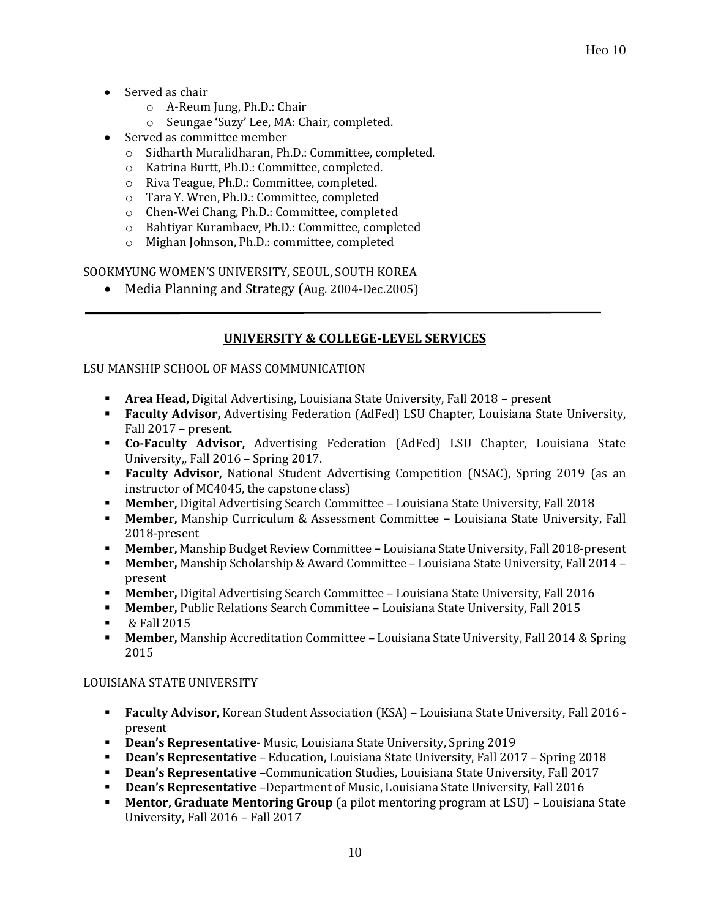- Served as chair
	- o A-Reum Jung, Ph.D.: Chair
	- o Seungae 'Suzy' Lee, MA: Chair, completed.
- Served as committee member
	- o Sidharth Muralidharan, Ph.D.: Committee, completed.
	- o Katrina Burtt, Ph.D.: Committee, completed.
	- o Riva Teague, Ph.D.: Committee, completed.
	- o Tara Y. Wren, Ph.D.: Committee, completed
	- o Chen-Wei Chang, Ph.D.: Committee, completed
	- o Bahtiyar Kurambaev, Ph.D.: Committee, completed
	- o Mighan Johnson, Ph.D.: committee, completed

SOOKMYUNG WOMEN'S UNIVERSITY, SEOUL, SOUTH KOREA

• Media Planning and Strategy (Aug. 2004-Dec.2005)

# **UNIVERSITY & COLLEGE-LEVEL SERVICES**

#### LSU MANSHIP SCHOOL OF MASS COMMUNICATION

- **Area Head,** Digital Advertising, Louisiana State University, Fall 2018 present
- **Faculty Advisor,** Advertising Federation (AdFed) LSU Chapter, Louisiana State University, Fall 2017 – present.
- **Co-Faculty Advisor,** Advertising Federation (AdFed) LSU Chapter, Louisiana State University,, Fall 2016 – Spring 2017.
- **Faculty Advisor,** National Student Advertising Competition (NSAC), Spring 2019 (as an instructor of MC4045, the capstone class)
- **Member,** Digital Advertising Search Committee Louisiana State University, Fall 2018
- **Member,** Manship Curriculum & Assessment Committee **–** Louisiana State University, Fall 2018-present
- **Member,** Manship Budget Review Committee **–** Louisiana State University, Fall 2018-present
- **Member,** Manship Scholarship & Award Committee Louisiana State University, Fall 2014 present
- **Member,** Digital Advertising Search Committee Louisiana State University, Fall 2016
- **Member,** Public Relations Search Committee Louisiana State University, Fall 2015
- & Fall 2015
- **Member,** Manship Accreditation Committee Louisiana State University, Fall 2014 & Spring 2015

#### LOUISIANA STATE UNIVERSITY

- **Faculty Advisor,** Korean Student Association (KSA) Louisiana State University, Fall 2016 present
- **Dean's Representative** Music, Louisiana State University, Spring 2019
- **Dean's Representative** Education, Louisiana State University, Fall 2017 Spring 2018
- **Dean's Representative** –Communication Studies, Louisiana State University, Fall 2017
- **Dean's Representative** –Department of Music, Louisiana State University, Fall 2016
- **Mentor, Graduate Mentoring Group** (a pilot mentoring program at LSU) Louisiana State University, Fall 2016 – Fall 2017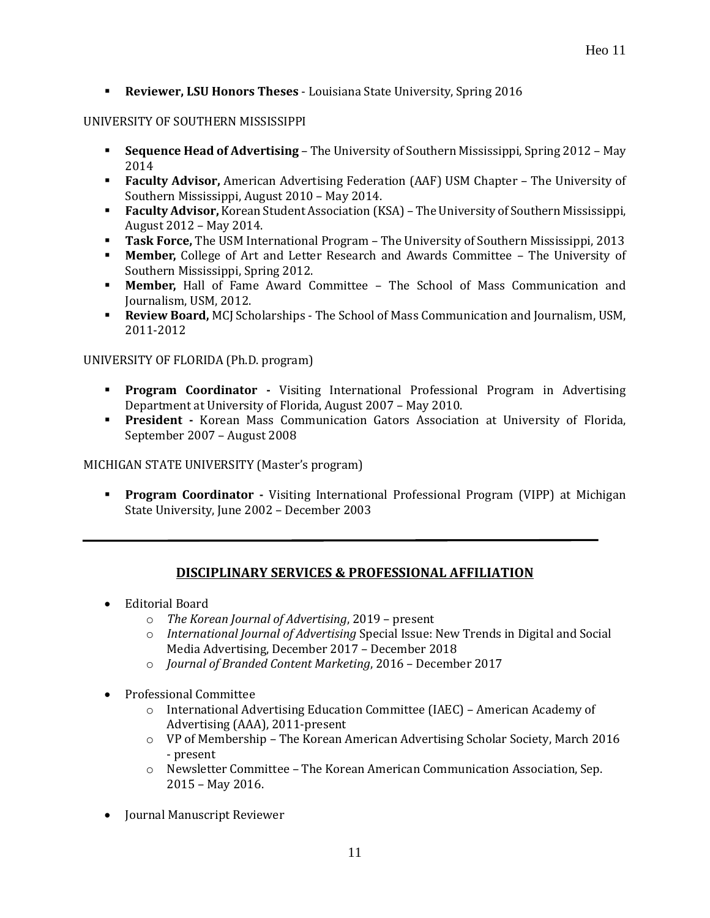▪ **Reviewer, LSU Honors Theses** - Louisiana State University, Spring 2016

#### UNIVERSITY OF SOUTHERN MISSISSIPPI

- **Sequence Head of Advertising** The University of Southern Mississippi, Spring 2012 May 2014
- **Faculty Advisor,** American Advertising Federation (AAF) USM Chapter The University of Southern Mississippi, August 2010 – May 2014.
- **Faculty Advisor,** Korean Student Association (KSA) The University of Southern Mississippi, August 2012 – May 2014.
- **Task Force,** The USM International Program The University of Southern Mississippi, 2013
- **Member,** College of Art and Letter Research and Awards Committee The University of Southern Mississippi, Spring 2012.
- **Member,** Hall of Fame Award Committee The School of Mass Communication and Journalism, USM, 2012.
- **EXECT:** Review Board, MCJ Scholarships The School of Mass Communication and Journalism, USM, 2011-2012

#### UNIVERSITY OF FLORIDA (Ph.D. program)

- **Program Coordinator -** Visiting International Professional Program in Advertising Department at University of Florida, August 2007 – May 2010.
- **President -** Korean Mass Communication Gators Association at University of Florida, September 2007 – August 2008

MICHIGAN STATE UNIVERSITY (Master's program)

▪ **Program Coordinator -** Visiting International Professional Program (VIPP) at Michigan State University, June 2002 – December 2003

#### **DISCIPLINARY SERVICES & PROFESSIONAL AFFILIATION**

- Editorial Board
	- o *The Korean Journal of Advertising*, 2019 present
	- o *International Journal of Advertising* Special Issue: New Trends in Digital and Social Media Advertising, December 2017 – December 2018
	- o *Journal of Branded Content Marketing*, 2016 December 2017
- Professional Committee
	- $\circ$  International Advertising Education Committee (IAEC) American Academy of Advertising (AAA), 2011-present
	- o VP of Membership The Korean American Advertising Scholar Society, March 2016 - present
	- o Newsletter Committee The Korean American Communication Association, Sep. 2015 – May 2016.
- Journal Manuscript Reviewer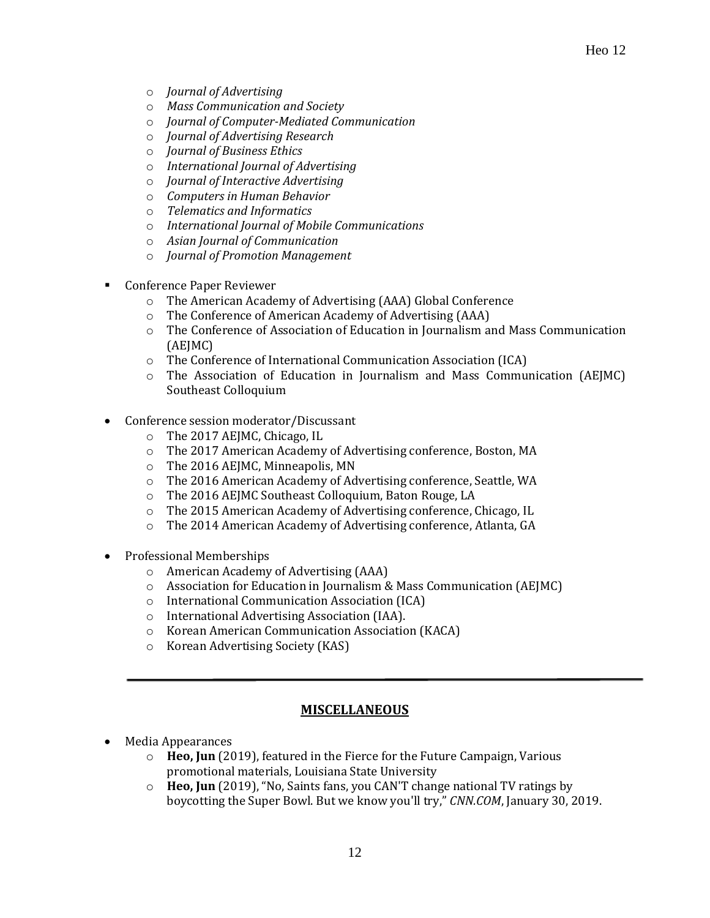- o *Journal of Advertising*
- o *Mass Communication and Society*
- o *Journal of Computer-Mediated Communication*
- o *Journal of Advertising Research*
- o *Journal of Business Ethics*
- o *International Journal of Advertising*
- o *Journal of Interactive Advertising*
- o *Computers in Human Behavior*
- o *Telematics and Informatics*
- o *International Journal of Mobile Communications*
- o *Asian Journal of Communication*
- o *Journal of Promotion Management*
- **Conference Paper Reviewer** 
	- o The American Academy of Advertising (AAA) Global Conference
	- o The Conference of American Academy of Advertising (AAA)
	- o The Conference of Association of Education in Journalism and Mass Communication (AEJMC)
	- o The Conference of International Communication Association (ICA)
	- o The Association of Education in Journalism and Mass Communication (AEJMC) Southeast Colloquium
- Conference session moderator/Discussant
	- o The 2017 AEJMC, Chicago, IL
	- o The 2017 American Academy of Advertising conference, Boston, MA
	- o The 2016 AEJMC, Minneapolis, MN
	- o The 2016 American Academy of Advertising conference, Seattle, WA
	- o The 2016 AEJMC Southeast Colloquium, Baton Rouge, LA
	- o The 2015 American Academy of Advertising conference, Chicago, IL
	- o The 2014 American Academy of Advertising conference, Atlanta, GA
- Professional Memberships
	- o American Academy of Advertising (AAA)
	- o Association for Education in Journalism & Mass Communication (AEJMC)
	- o International Communication Association (ICA)
	- o International Advertising Association (IAA).
	- o Korean American Communication Association (KACA)
	- o Korean Advertising Society (KAS)

#### **MISCELLANEOUS**

- Media Appearances
	- o **Heo, Jun** (2019), featured in the Fierce for the Future Campaign, Various promotional materials, Louisiana State University
	- o **Heo, Jun** (2019), "No, Saints fans, you CAN'T change national TV ratings by boycotting the Super Bowl. But we know you'll try," *CNN.COM*, January 30, 2019.